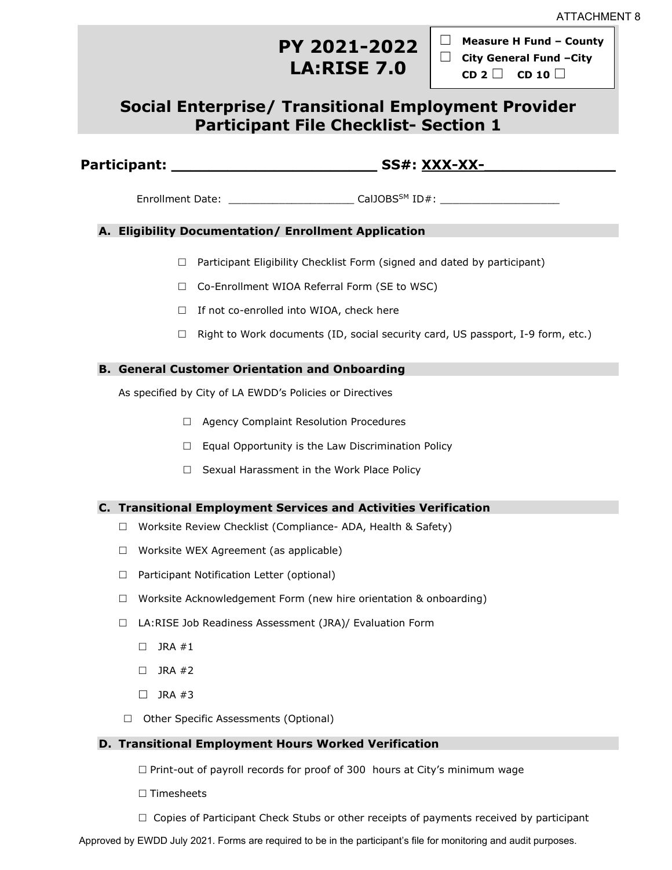# **PY 2021-2022 LA:RISE 7.0**

☐ **Measure H Fund – County**  ☐ **City General Fund –City** 

**CD 2** ☐ **CD <sup>10</sup>** ☐

# **Social Enterprise/ Transitional Employment Provider Participant File Checklist- Section 1**

### **Participant: \_\_\_\_\_\_\_\_\_\_\_\_\_\_\_\_\_\_\_\_\_\_ SS#: XXX-XX-\_\_\_\_\_\_\_\_\_\_\_\_\_\_**

Enrollment Date: \_\_\_\_\_\_\_\_\_\_\_\_\_\_\_\_\_\_\_\_\_\_\_\_\_\_\_\_ CalJOBS<sup>SM</sup> ID#: \_\_\_\_\_\_\_\_\_\_\_\_\_\_\_\_\_\_

#### **A. Eligibility Documentation/ Enrollment Application**

- $\Box$  Participant Eligibility Checklist Form (signed and dated by participant)
- □ Co-Enrollment WIOA Referral Form (SE to WSC)
- $\Box$  If not co-enrolled into WIOA, check here
- $\Box$  Right to Work documents (ID, social security card, US passport, I-9 form, etc.)

#### **B. General Customer Orientation and Onboarding**

As specified by City of LA EWDD's Policies or Directives

- □ Agency Complaint Resolution Procedures
- $\Box$  Equal Opportunity is the Law Discrimination Policy
- $\Box$  Sexual Harassment in the Work Place Policy

#### **C. Transitional Employment Services and Activities Verification**

- □ Worksite Review Checklist (Compliance- ADA, Health & Safety)
- $\Box$  Worksite WEX Agreement (as applicable)
- □ Participant Notification Letter (optional)
- $\Box$  Worksite Acknowledgement Form (new hire orientation & onboarding)
- □ LA:RISE Job Readiness Assessment (JRA)/ Evaluation Form
	- $\Box$  JRA #1
	- $\Box$  JRA #2
	- $\Box$  JRA #3
- □ Other Specific Assessments (Optional)

#### **D. Transitional Employment Hours Worked Verification**

 $\Box$  Print-out of payroll records for proof of 300 hours at City's minimum wage

- $\square$  Timesheets
- $\Box$  Copies of Participant Check Stubs or other receipts of payments received by participant

Approved by EWDD July 2021. Forms are required to be in the participant's file for monitoring and audit purposes.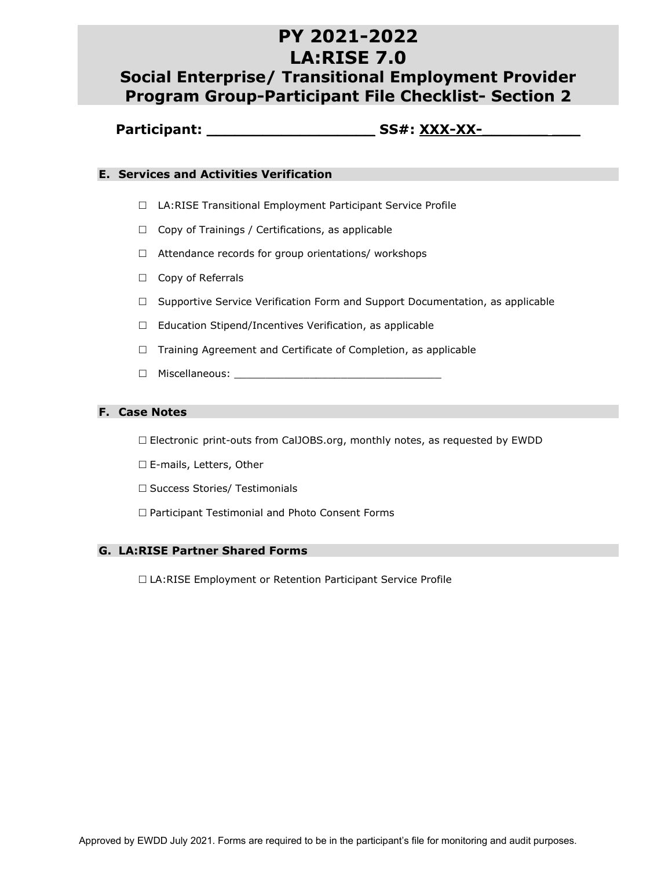# **PY 2021-2022 LA:RISE 7.0 Social Enterprise/ Transitional Employment Provider**

# **Program Group-Participant File Checklist- Section 2**

### **Participant: \_\_\_\_\_\_\_\_\_\_\_\_\_\_\_\_\_\_ SS#: XXX-XX-\_\_\_\_\_\_\_ \_\_\_**

#### **E. Services and Activities Verification**

- □ LA:RISE Transitional Employment Participant Service Profile
- $\Box$  Copy of Trainings / Certifications, as applicable
- $\Box$  Attendance records for group orientations/ workshops
- □ Copy of Referrals
- $\Box$  Supportive Service Verification Form and Support Documentation, as applicable
- $\Box$  Education Stipend/Incentives Verification, as applicable
- $\Box$  Training Agreement and Certificate of Completion, as applicable
- $\Box$  Miscellaneous:  $\Box$

#### **F. Case Notes**

- Electronic print-outs from CalJOBS.org, monthly notes, as requested by EWDD
- □ E-mails, Letters, Other
- □ Success Stories/ Testimonials
- $\Box$  Participant Testimonial and Photo Consent Forms

#### **G. LA:RISE Partner Shared Forms**

□ LA:RISE Employment or Retention Participant Service Profile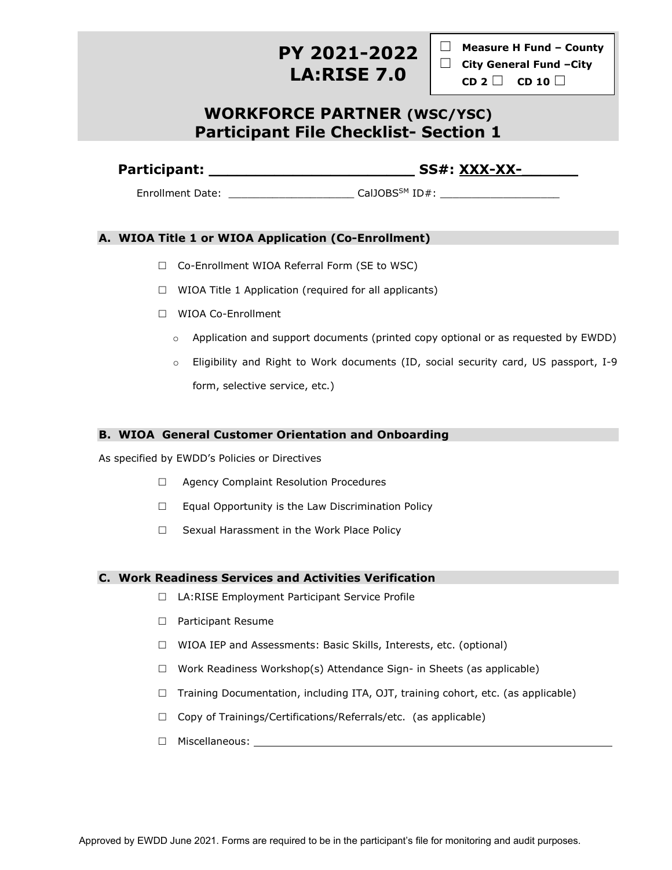# **PY 2021-2022 LA:RISE 7.0**

☐ **Measure <sup>H</sup> Fund – County**  ☐ **City General Fund –City CD <sup>2</sup>** ☐ **CD <sup>10</sup>** ☐

## **WORKFORCE PARTNER (WSC/YSC) Participant File Checklist- Section 1**

**Participant: \_\_\_\_\_\_\_\_\_\_\_\_\_\_\_\_\_\_\_\_\_\_ SS#: XXX-XX-\_\_\_\_\_\_**

Enrollment Date: \_\_\_\_\_\_\_\_\_\_\_\_\_\_\_\_\_\_\_\_\_\_\_\_\_\_\_\_\_\_\_\_\_CalJOBS<sup>SM</sup> ID#:

### **A. WIOA Title 1 or WIOA Application (Co-Enrollment)**

- □ Co-Enrollment WIOA Referral Form (SE to WSC)
- $\Box$  WIOA Title 1 Application (required for all applicants)
- □ WIOA Co-Enrollment
	- $\circ$  Application and support documents (printed copy optional or as requested by EWDD)
	- o Eligibility and Right to Work documents (ID, social security card, US passport, I-9 form, selective service, etc.)

#### **B. WIOA General Customer Orientation and Onboarding**

As specified by EWDD's Policies or Directives

- □ Agency Complaint Resolution Procedures
- $\Box$  Equal Opportunity is the Law Discrimination Policy
- $\Box$  Sexual Harassment in the Work Place Policy

#### **C. Work Readiness Services and Activities Verification**

- □ LA:RISE Employment Participant Service Profile
- □ Participant Resume
- $\Box$  WIOA IEP and Assessments: Basic Skills, Interests, etc. (optional)
- $\Box$  Work Readiness Workshop(s) Attendance Sign- in Sheets (as applicable)
- $\Box$  Training Documentation, including ITA, OJT, training cohort, etc. (as applicable)
- $\Box$  Copy of Trainings/Certifications/Referrals/etc. (as applicable)
- Miscellaneous: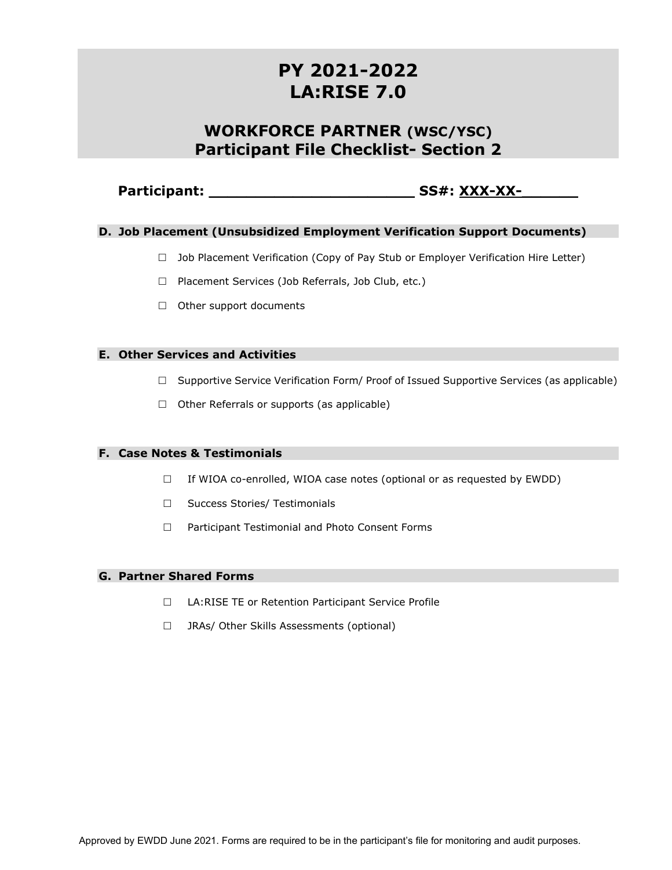# **PY 2021-2022 LA:RISE 7.0**

## **WORKFORCE PARTNER (WSC/YSC) Participant File Checklist- Section 2**

### **Participant: \_\_\_\_\_\_\_\_\_\_\_\_\_\_\_\_\_\_\_\_\_\_ SS#: XXX-XX-\_\_\_\_\_\_**

#### **D. Job Placement (Unsubsidized Employment Verification Support Documents)**

- $\Box$  Job Placement Verification (Copy of Pay Stub or Employer Verification Hire Letter)
- $\Box$  Placement Services (Job Referrals, Job Club, etc.)
- $\Box$  Other support documents

#### **E. Other Services and Activities**

- $\Box$  Supportive Service Verification Form/ Proof of Issued Supportive Services (as applicable)
- $\Box$  Other Referrals or supports (as applicable)

#### **F. Case Notes & Testimonials**

- $\Box$  If WIOA co-enrolled, WIOA case notes (optional or as requested by EWDD)
- □ Success Stories/ Testimonials
- □ Participant Testimonial and Photo Consent Forms

#### **G. Partner Shared Forms**

- □ LA:RISE TE or Retention Participant Service Profile
- □ JRAs/ Other Skills Assessments (optional)